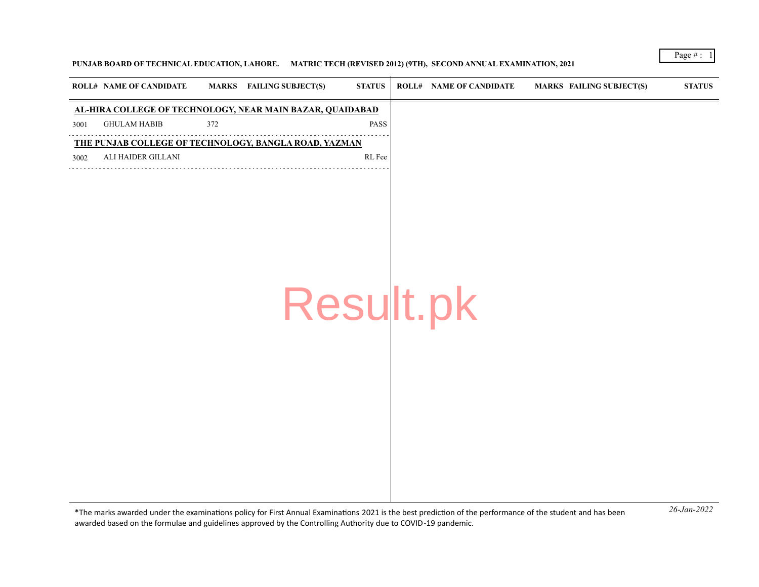## **PUNJAB BOARD OF TECHNICAL EDUCATION, LAHORE. MATRIC TECH (REVISED 2012) (9TH), SECOND ANNUAL EXAMINATION, 2021**

|      | <b>ROLL# NAME OF CANDIDATE</b>                            |     | MARKS FAILING SUBJECT(S) | <b>STATUS</b> | <b>ROLL# NAME OF CANDIDATE</b> | MARKS FAILING SUBJECT(S) | $\boldsymbol{\text{STATUS}}$ |
|------|-----------------------------------------------------------|-----|--------------------------|---------------|--------------------------------|--------------------------|------------------------------|
|      | AL-HIRA COLLEGE OF TECHNOLOGY, NEAR MAIN BAZAR, QUAIDABAD |     |                          |               |                                |                          |                              |
| 3001 | <b>GHULAM HABIB</b>                                       | 372 |                          | PASS          |                                |                          |                              |
|      | THE PUNJAB COLLEGE OF TECHNOLOGY, BANGLA ROAD, YAZMAN     |     |                          |               |                                |                          |                              |
| 3002 | ALI HAIDER GILLANI                                        |     |                          | RL Fee        |                                |                          |                              |
|      |                                                           |     | Result.pk                |               |                                |                          |                              |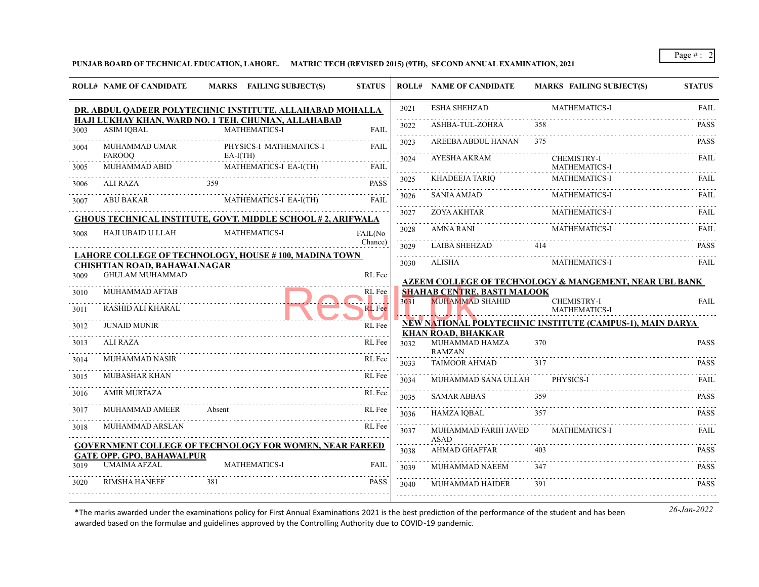**PUNJAB BOARD OF TECHNICAL EDUCATION, LAHORE. MATRIC TECH (REVISED 2015) (9TH), SECOND ANNUAL EXAMINATION, 2021**

|              | <b>ROLL# NAME OF CANDIDATE</b>             | MARKS FAILING SUBJECT(S)                                                     | <b>STATUS</b>           |           | <b>ROLL# NAME OF CANDIDATE</b>                               | <b>MARKS FAILING SUBJECT(S)</b>                           | <b>STATUS</b> |
|--------------|--------------------------------------------|------------------------------------------------------------------------------|-------------------------|-----------|--------------------------------------------------------------|-----------------------------------------------------------|---------------|
|              |                                            | DR. ABDUL QADEER POLYTECHNIC INSTITUTE, ALLAHABAD MOHALLA                    |                         | 3021      | <b>ESHA SHEHZAD</b>                                          | MATHEMATICS-I                                             | FAIL          |
| 3003         | <b>ASIM IOBAL</b>                          | HAJI LUKHAY KHAN, WARD NO. 1 TEH. CHUNIAN, ALLAHABAD<br><b>MATHEMATICS-I</b> | <b>FAIL</b>             | .<br>3022 | ASHBA-TUL-ZOHRA                                              | 358                                                       | <b>PASS</b>   |
| 3004         | MUHAMMAD UMAR                              | PHYSICS-I MATHEMATICS-I                                                      | <b>FAIL</b>             | 3023      | AREEBA ABDUL HANAN                                           | 375                                                       | <b>PASS</b>   |
| 3005         | <b>FAROOO</b><br>MUHAMMAD ABID             | $EA-I(TH)$<br>MATHEMATICS-I EA-I(TH)                                         | <b>FAIL</b>             | .<br>3024 | AYESHA AKRAM                                                 | <b>CHEMISTRY-I</b><br>MATHEMATICS-I                       | FAIL          |
| 3006         | ALI RAZA                                   | 359                                                                          | <b>PASS</b>             | 3025      | KHADEEJA TARIQ                                               | <b>MATHEMATICS-I</b>                                      | <b>FAIL</b>   |
| 3007         | ABU BAKAR                                  | MATHEMATICS-I EA-I(TH)                                                       | FAIL                    | 3026      | <b>SANIA AMJAD</b>                                           | <b>MATHEMATICS-I</b>                                      | FAIL          |
|              |                                            | GHOUS TECHNICAL INSTITUTE, GOVT. MIDDLE SCHOOL #2, ARIFWALA                  |                         | 3027<br>. | ZOYA AKHTAR                                                  | MATHEMATICS-I                                             | <b>FAIL</b>   |
| 3008         | HAJI UBAID U LLAH                          | <b>MATHEMATICS-I</b>                                                         | FAIL(No                 | 3028<br>. | AMNA RANI                                                    | <b>MATHEMATICS-I</b>                                      | FAIL<br>.     |
|              |                                            | LAHORE COLLEGE OF TECHNOLOGY, HOUSE #100, MADINA TOWN                        | Chance)                 | 3029<br>. | <b>LAIBA SHEHZAD</b>                                         | 414                                                       | <b>PASS</b>   |
|              | <b>CHISHTIAN ROAD, BAHAWALNAGAR</b>        |                                                                              |                         | 3030      | ALISHA                                                       | <b>MATHEMATICS-I</b>                                      | FAIL          |
| 3009         | <b>GHULAM MUHAMMAD</b>                     |                                                                              | RL Fee                  |           |                                                              | AZEEM COLLEGE OF TECHNOLOGY & MANGEMENT, NEAR UBL BANK    |               |
| 3010<br>3011 | MUHAMMAD AFTAB<br><b>RASHID ALI KHARAL</b> |                                                                              | RL Fee<br><b>RL</b> Fee | 3031      | <b>SHAHAB CENTRE, BASTI MALOOK</b><br>MUHAMMAD SHAHID        | <b>CHEMISTRY-I</b><br><b>MATHEMATICS-I</b>                | <b>FAIL</b>   |
| 3012         | <b>JUNAID MUNIR</b>                        |                                                                              | RL Fee                  |           |                                                              | NEW NATIONAL POLYTECHNIC INSTITUTE (CAMPUS-1), MAIN DARYA |               |
| 3013         | ALI RAZA                                   |                                                                              | RL Fee                  | 3032      | <b>KHAN ROAD, BHAKKAR</b><br>MUHAMMAD HAMZA<br><b>RAMZAN</b> | 370                                                       | <b>PASS</b>   |
| 3014         | MUHAMMAD NASIR                             |                                                                              | RL Fee                  | 3033      | <b>TAIMOOR AHMAD</b>                                         | 317                                                       | <b>PASS</b>   |
| 3015         | <b>MUBASHAR KHAN</b>                       |                                                                              | RL Fee                  | 3034      | MUHAMMAD SANA ULLAH                                          | PHYSICS-I                                                 | FAIL          |
| 3016         | <b>AMIR MURTAZA</b>                        |                                                                              | RL Fee                  | .<br>3035 | <b>SAMAR ABBAS</b>                                           | 359                                                       | <b>PASS</b>   |
| 3017         | MUHAMMAD AMEER                             | Absent                                                                       | RL Fee                  | 3036      | HAMZA IQBAL                                                  | 357                                                       | <b>PASS</b>   |
| 3018         | MUHAMMAD ARSLAN                            |                                                                              | RL Fee                  | 3037      | MUHAMMAD FARIH JAVED<br><b>ASAD</b>                          | <b>MATHEMATICS-I</b>                                      | FAIL          |
|              | <b>GATE OPP. GPO, BAHAWALPUR</b>           | <b>GOVERNMENT COLLEGE OF TECHNOLOGY FOR WOMEN, NEAR FAREED</b>               |                         | 3038      | <b>AHMAD GHAFFAR</b>                                         | 403                                                       | <b>PASS</b>   |
| 3019         | <b>UMAIMA AFZAL</b>                        | <b>MATHEMATICS-I</b>                                                         | <b>FAIL</b>             | 3039      | MUHAMMAD NAEEM                                               | 347                                                       | <b>PASS</b>   |
| 3020         | <b>RIMSHA HANEEF</b>                       | 381                                                                          | <b>PASS</b>             | .<br>3040 | <b>MUHAMMAD HAIDER</b>                                       | 391                                                       | <b>PASS</b>   |
|              |                                            |                                                                              |                         |           |                                                              |                                                           |               |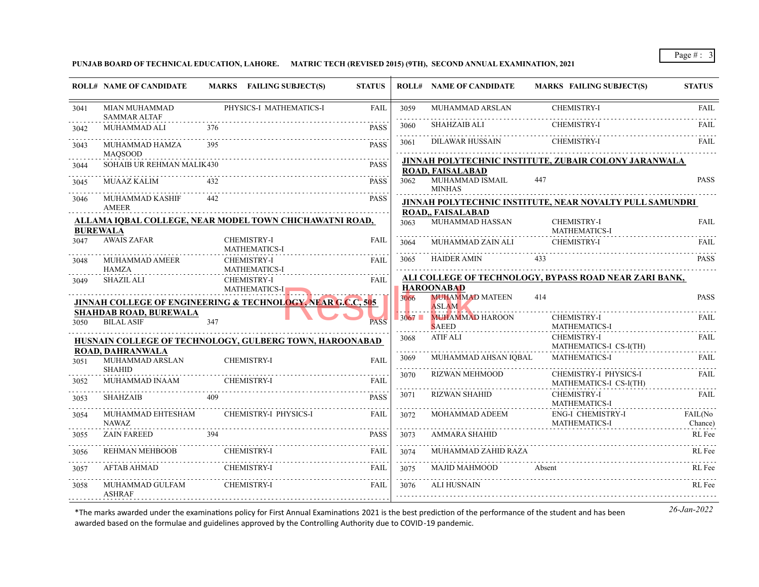**PUNJAB BOARD OF TECHNICAL EDUCATION, LAHORE. MATRIC TECH (REVISED 2015) (9TH), SECOND ANNUAL EXAMINATION, 2021**

| <b>FAIL</b><br>FAIL<br>JINNAH POLYTECHNIC INSTITUTE. ZUBAIR COLONY JARANWALA |
|------------------------------------------------------------------------------|
|                                                                              |
| FAIL<br><b>PASS</b>                                                          |
|                                                                              |
|                                                                              |
|                                                                              |
|                                                                              |
| JINNAH POLYTECHNIC INSTITUTE, NEAR NOVALTY PULL SAMUNDRI                     |
|                                                                              |
| <b>FAIL</b>                                                                  |
| FAIL                                                                         |
| <b>PASS</b>                                                                  |
| ALI COLLEGE OF TECHNOLOGY, BYPASS ROAD NEAR ZARI BANK,                       |
|                                                                              |
| <b>PASS</b>                                                                  |
| FAIL.                                                                        |
| <b>FAIL</b><br>MATHEMATICS-I CS-I(TH)                                        |
| FAIL                                                                         |
| CHEMISTRY-I PHYSICS-I<br>FAIL.<br>MATHEMATICS-I CS-I(TH)                     |
| <b>FAIL</b>                                                                  |
| FAIL(No<br>Chance)                                                           |
| RL Fee                                                                       |
| RL Fee                                                                       |
| RL Fee                                                                       |
| RL Fee                                                                       |
|                                                                              |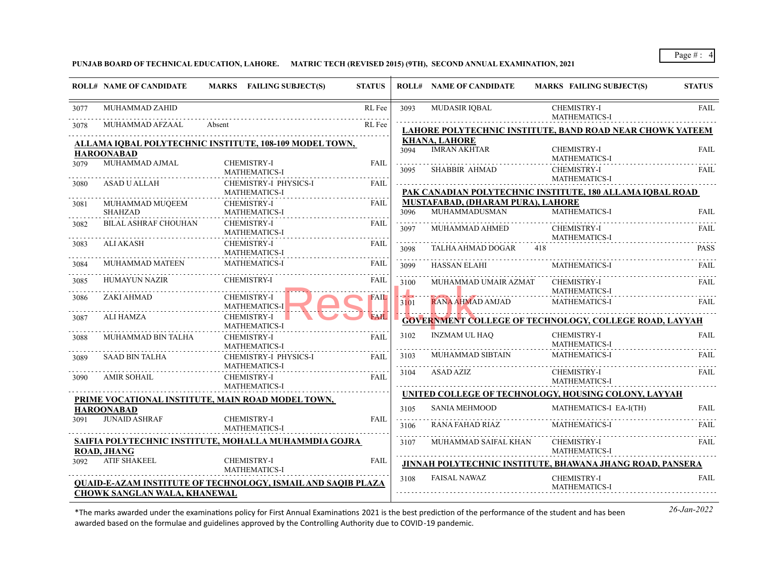## **PUNJAB BOARD OF TECHNICAL EDUCATION, LAHORE. MATRIC TECH (REVISED 2015) (9TH), SECOND ANNUAL EXAMINATION, 2021**

| MUHAMMAD ZAHID<br>RL Fee<br><b>MUDASIR IQBAL</b><br><b>CHEMISTRY-I</b><br>3093<br>3077<br>MATHEMATICS-I                                                                     | <b>FAIL</b> |
|-----------------------------------------------------------------------------------------------------------------------------------------------------------------------------|-------------|
|                                                                                                                                                                             |             |
| MUHAMMAD AFZAAL<br>RL Fee<br>Absent<br>3078<br>LAHORE POLYTECHNIC INSTITUTE, BAND ROAD NEAR CHOWK YATEEM                                                                    |             |
| <b>KHANA, LAHORE</b><br><b>ALLAMA IOBAL POLYTECHNIC INSTITUTE, 108-109 MODEL TOWN,</b>                                                                                      |             |
| <b>IMRAN AKHTAR</b><br><b>CHEMISTRY-I</b><br>3094<br><b>HAROONABAD</b>                                                                                                      | <b>FAIL</b> |
| <b>MATHEMATICS-I</b><br>MUHAMMAD AJMAL<br><b>CHEMISTRY-I</b><br>FAIL<br>3079<br><b>CHEMISTRY-I</b><br><b>SHABBIR AHMAD</b><br>3095<br><b>MATHEMATICS-I</b>                  | FAIL        |
| <b>MATHEMATICS-I</b><br>CHEMISTRY-I PHYSICS-I<br><b>FAIL</b><br>ASAD U ALLAH<br>3080                                                                                        |             |
| PAK CANADIAN POLYTECHNIC INSTITUTE, 180 ALLAMA IQBAL ROAD<br><b>MATHEMATICS-I</b>                                                                                           |             |
| MUSTAFABAD, (DHARAM PURA), LAHORE<br>MUHAMMAD MUQEEM<br><b>CHEMISTRY-I</b><br><b>FAIL</b><br>3081<br>MUHAMMADUSMAN<br>MATHEMATICS-I<br><b>SHAHZAD</b><br>3096               | FAIL        |
| <b>MATHEMATICS-I</b><br><b>BILAL ASHRAF CHOUHAN</b><br><b>CHEMISTRY-I</b><br>FAIL                                                                                           |             |
| 3082<br>MUHAMMAD AHMED<br>CHEMISTRY-I<br>3097<br><b>MATHEMATICS-I</b><br><b>MATHEMATICS-I</b>                                                                               | FAIL        |
| ALI AKASH<br><b>CHEMISTRY-I</b><br><b>FAIL</b><br>3083<br>TALHA AHMAD DOGAR<br>418<br>3098<br><b>MATHEMATICS-I</b>                                                          | <b>PASS</b> |
| MUHAMMAD MATEEN<br><b>MATHEMATICS-I</b><br>FAIL<br>3084<br><b>HASSAN ELAHI</b><br><b>MATHEMATICS-I</b><br>3099                                                              | FAIL        |
| <b>HUMAYUN NAZIR</b><br><b>CHEMISTRY-I</b><br>FAIL<br>3085<br>MUHAMMAD UMAIR AZMAT<br><b>CHEMISTRY-I</b><br>3100<br><b>MATHEMATICS-I</b>                                    | FAIL        |
| ZAKI AHMAD<br><b>CHEMISTRY-I</b><br><b>FAIL</b><br>3086<br>RANA AHMAD AMJAD<br><b>MATHEMATICS-I</b><br>3101<br><b>MATHEMATICS-I</b>                                         | FAIL        |
| <b>FAIL</b><br>ALI HAMZA<br><b>CHEMISTRY-I</b><br>3087<br><b>GOVERNMENT COLLEGE OF TECHNOLOGY, COLLEGE ROAD, LAYYAH</b><br><b>MATHEMATICS-I</b>                             |             |
| <b>INZMAM UL HAQ</b><br><b>CHEMISTRY-I</b><br>3102<br>MUHAMMAD BIN TALHA<br><b>FAIL</b><br>CHEMISTRY-I<br>3088<br><b>MATHEMATICS-I</b><br><b>MATHEMATICS-I</b>              | FAIL        |
| <b>MUHAMMAD SIBTAIN</b><br><b>MATHEMATICS-I</b><br>3103<br>CHEMISTRY-I PHYSICS-I<br><b>SAAD BIN TALHA</b><br><b>FAIL</b><br>3089<br><b>MATHEMATICS-I</b>                    | FAIL        |
| ASAD AZIZ<br><b>CHEMISTRY-I</b><br>3104<br>AMIR SOHAIL<br>CHEMISTRY-I<br>FAIL<br>3090<br><b>MATHEMATICS-I</b><br><b>MATHEMATICS-I</b>                                       | <b>FAIL</b> |
| UNITED COLLEGE OF TECHNOLOGY, HOUSING COLONY, LAYYAH<br>PRIME VOCATIONAL INSTITUTE, MAIN ROAD MODEL TOWN,                                                                   |             |
| MATHEMATICS-I EA-I(TH)<br><b>SANIA MEHMOOD</b><br>3105<br><b>HAROONABAD</b>                                                                                                 | FAII.       |
| <b>JUNAID ASHRAF</b><br><b>CHEMISTRY-I</b><br><b>FAIL</b><br>3091<br>RANA FAHAD RIAZ<br><b>MATHEMATICS-I</b><br>3106<br><b>MATHEMATICS-I</b>                                | FAIL        |
| SAIFIA POLYTECHNIC INSTITUTE, MOHALLA MUHAMMDIA GOJRA<br><b>CHEMISTRY-I</b><br>MUHAMMAD SAIFAL KHAN<br>3107                                                                 | FAIL        |
| <b>ROAD, JHANG</b><br><b>MATHEMATICS-I</b><br><b>ATIF SHAKEEL</b><br><b>CHEMISTRY-I</b><br><b>FAIL</b><br>3092<br>JINNAH POLYTECHNIC INSTITUTE, BHAWANA JHANG ROAD, PANSERA |             |
| <b>MATHEMATICS-I</b><br><b>FAISAL NAWAZ</b><br><b>CHEMISTRY-I</b><br>3108                                                                                                   | <b>FAIL</b> |
| <b>QUAID-E-AZAM INSTITUTE OF TECHNOLOGY, ISMAIL AND SAQIB PLAZA</b><br><b>MATHEMATICS-I</b><br>CHOWK SANGLAN WALA, KHANEWAL                                                 |             |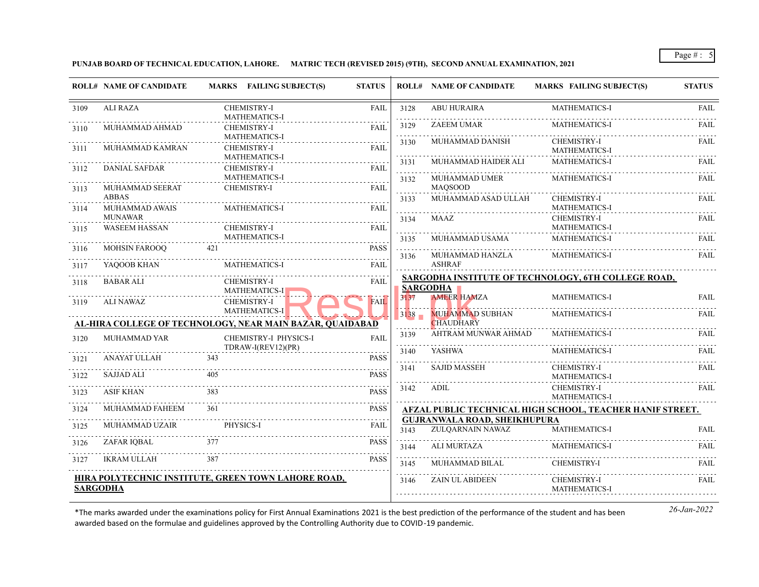**PUNJAB BOARD OF TECHNICAL EDUCATION, LAHORE. MATRIC TECH (REVISED 2015) (9TH), SECOND ANNUAL EXAMINATION, 2021**

|      | <b>ROLL# NAME OF CANDIDATE</b>         | MARKS FAILING SUBJECT(S)                                                   | <b>STATUS</b> |                              | <b>ROLL# NAME OF CANDIDATE</b>                          | <b>MARKS FAILING SUBJECT(S)</b>                                  | <b>STATUS</b> |
|------|----------------------------------------|----------------------------------------------------------------------------|---------------|------------------------------|---------------------------------------------------------|------------------------------------------------------------------|---------------|
| 3109 | <b>ALI RAZA</b>                        | <b>CHEMISTRY-I</b><br>MATHEMATICS-I                                        | <b>FAIL</b>   | 3128                         | <b>ABU HURAIRA</b>                                      | MATHEMATICS-I                                                    | <b>FAIL</b>   |
| 3110 | MUHAMMAD AHMAD                         | <b>CHEMISTRY-I</b>                                                         | <b>FAIL</b>   | 3129                         | <b>ZAEEM UMAR</b>                                       | <b>MATHEMATICS-I</b>                                             | FAIL          |
| 3111 | MUHAMMAD KAMRAN                        | <b>MATHEMATICS-I</b><br><b>CHEMISTRY-I</b>                                 | <b>FAIL</b>   | 3130                         | MUHAMMAD DANISH                                         | <b>CHEMISTRY-I</b><br>MATHEMATICS-I                              | <b>FAIL</b>   |
| 3112 | <b>DANIAL SAFDAR</b>                   | <b>MATHEMATICS-I</b><br><b>CHEMISTRY-I</b>                                 | <b>FAIL</b>   | 3131<br>.                    | MUHAMMAD HAIDER ALI                                     | <b>MATHEMATICS-I</b>                                             | FAIL          |
|      |                                        | <b>MATHEMATICS-I</b>                                                       |               | 3132                         | <b>MUHAMMAD UMER</b>                                    | <b>MATHEMATICS-I</b>                                             | FAIL          |
| 3113 | MUHAMMAD SEERAT<br><b>ABBAS</b>        | <b>CHEMISTRY-I</b>                                                         | <b>FAIL</b>   | 3133                         | <b>MAQSOOD</b><br>MUHAMMAD ASAD ULLAH                   | <b>CHEMISTRY-I</b>                                               | <b>FAIL</b>   |
| 3114 | MUHAMMAD AWAIS                         | MATHEMATICS-I                                                              | <b>FAIL</b>   |                              |                                                         | MATHEMATICS-I                                                    |               |
| 3115 | <b>MUNAWAR</b><br><b>WASEEM HASSAN</b> | CHEMISTRY-I                                                                | <b>FAIL</b>   | 3134                         | MAAZ                                                    | <b>CHEMISTRY-I</b><br><b>MATHEMATICS-I</b>                       | <b>FAIL</b>   |
|      |                                        | <b>MATHEMATICS-I</b>                                                       |               | 3135                         | MUHAMMAD USAMA                                          | <b>MATHEMATICS-I</b>                                             | FAIL          |
| 3116 | <b>MOHSIN FAROOO</b>                   | 421                                                                        | <b>PASS</b>   | .<br>3136                    | MUHAMMAD HANZLA                                         | MATHEMATICS-I                                                    | FAIL          |
| 3117 | YAQOOB KHAN                            | <b>MATHEMATICS-I</b>                                                       | FAIL          |                              | <b>ASHRAF</b>                                           |                                                                  |               |
| 3118 | <b>BABAR ALI</b>                       | <b>CHEMISTRY-I</b><br><b>MATHEMATICS-I</b>                                 | <b>FAIL</b>   |                              | SARGODHA <b>N</b>                                       | SARGODHA INSTITUTE OF TECHNOLOGY, 6TH COLLEGE ROAD,              |               |
| 3119 | <b>ALI NAWAZ</b>                       | <b>CHEMISTRY-I</b>                                                         | <b>FAIL</b>   | 3137                         | <b>AMEER HAMZA</b>                                      | <b>MATHEMATICS-I</b>                                             | FAIL          |
|      |                                        | MATHEMATICS-I<br>AL-HIRA COLLEGE OF TECHNOLOGY, NEAR MAIN BAZAR, OUAIDABAD |               | 3138                         | <b>MUHAMMAD SUBHAN</b><br><b>CHAUDHARY</b>              | MATHEMATICS-I                                                    | <b>FAIL</b>   |
| 3120 | <b>MUHAMMAD YAR</b>                    | CHEMISTRY-I PHYSICS-I                                                      | <b>FAIL</b>   | 3139                         | AHTRAM MUNWAR AHMAD                                     | <b>MATHEMATICS-I</b>                                             | FAIL          |
|      |                                        | TDRAW-I(REV12)(PR)                                                         |               | 3140                         | YASHWA                                                  | <b>MATHEMATICS-I</b>                                             | FAIL          |
| 3121 | ANAYAT ULLAH                           | 343                                                                        | <b>PASS</b>   | 3141                         | <b>SAJID MASSEH</b>                                     | <b>CHEMISTRY-I</b>                                               | <b>FAIL</b>   |
| 3122 | <b>SAJJAD ALI</b>                      | 405                                                                        | <b>PASS</b>   |                              |                                                         | <b>MATHEMATICS-I</b>                                             |               |
| 3123 | <b>ASIF KHAN</b>                       | 383                                                                        | <b>PASS</b>   | 3142                         | ADIL                                                    | <b>CHEMISTRY-I</b><br><b>MATHEMATICS-I</b>                       | FAIL          |
| 3124 | MUHAMMAD FAHEEM                        | 361                                                                        | <b>PASS</b>   |                              |                                                         | <b>AFZAL PUBLIC TECHNICAL HIGH SCHOOL, TEACHER HANIF STREET.</b> |               |
| 3125 | <b>MUHAMMAD UZAIR</b>                  | PHYSICS-I                                                                  | <b>FAIL</b>   | 3143                         | <b>GUJRANWALA ROAD, SHEIKHUPURA</b><br>ZULOARNAIN NAWAZ | <b>MATHEMATICS-I</b>                                             | <b>FAIL</b>   |
| 3126 | ZAFAR IOBAL                            | 377                                                                        | <b>PASS</b>   | 3144                         | <b>ALI MURTAZA</b>                                      | <b>MATHEMATICS-I</b>                                             | FAIL          |
| 3127 | <b>IKRAM ULLAH</b>                     | 387                                                                        | PASS          | $\sim$ $\sim$ $\sim$<br>3145 | MUHAMMAD BILAL                                          | <b>CHEMISTRY-I</b>                                               | FAIL          |
|      |                                        | HIRA POLYTECHNIC INSTITUTE, GREEN TOWN LAHORE ROAD,                        |               | 3146                         | <b>ZAIN UL ABIDEEN</b>                                  | CHEMISTRY-I                                                      | <b>FAIL</b>   |
|      | <b>SARGODHA</b>                        |                                                                            |               |                              |                                                         | <b>MATHEMATICS-I</b>                                             |               |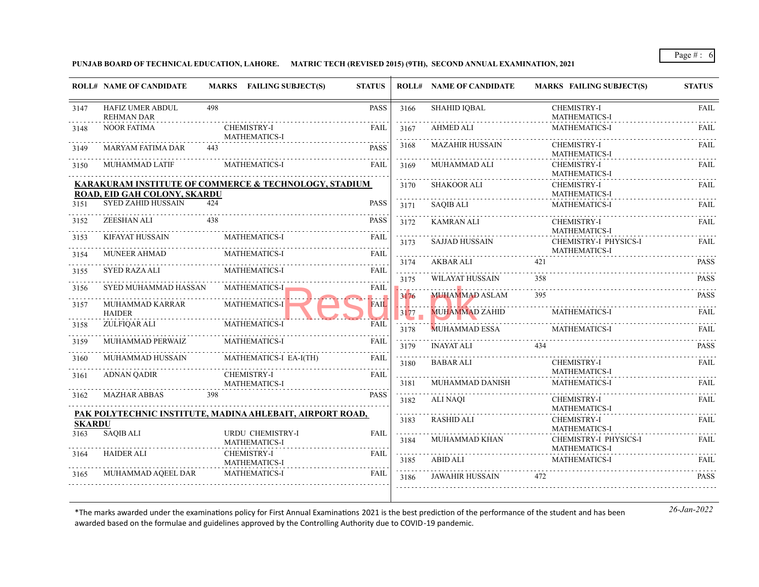**PUNJAB BOARD OF TECHNICAL EDUCATION, LAHORE. MATRIC TECH (REVISED 2015) (9TH), SECOND ANNUAL EXAMINATION, 2021**

|                                                       | <b>ROLL# NAME OF CANDIDATE</b>                            |     | MARKS FAILING SUBJECT(S)                     | <b>STATUS</b> |                 | <b>ROLL# NAME OF CANDIDATE</b> | <b>MARKS FAILING SUBJECT(S)</b>               | <b>STATUS</b> |
|-------------------------------------------------------|-----------------------------------------------------------|-----|----------------------------------------------|---------------|-----------------|--------------------------------|-----------------------------------------------|---------------|
| 3147                                                  | <b>HAFIZ UMER ABDUL</b><br><b>REHMAN DAR</b>              | 498 |                                              | PASS          | 3166            | <b>SHAHID IQBAL</b>            | CHEMISTRY-I<br>MATHEMATICS-I                  | <b>FAIL</b>   |
| 3148                                                  | <b>NOOR FATIMA</b>                                        |     | <b>CHEMISTRY-I</b><br><b>MATHEMATICS-I</b>   | <b>FAIL</b>   | 3167<br>.       | AHMED ALI                      | <b>MATHEMATICS-I</b>                          | FAIL          |
| 3149                                                  | <b>MARYAM FATIMA DAR</b>                                  | 443 |                                              | <b>PASS</b>   | 3168            | <b>MAZAHIR HUSSAIN</b>         | <b>CHEMISTRY-I</b><br><b>MATHEMATICS-I</b>    | FAIL          |
| 3150                                                  | MUHAMMAD LATIF                                            |     | <b>MATHEMATICS-I</b>                         | <b>FAIL</b>   | 3169            | MUHAMMAD ALI                   | <b>CHEMISTRY-I</b><br><b>MATHEMATICS-I</b>    | <b>FAIL</b>   |
| KARAKURAM INSTITUTE OF COMMERCE & TECHNOLOGY, STADIUM |                                                           |     |                                              |               | 3170            | <b>SHAKOOR ALI</b>             | <b>CHEMISTRY-I</b>                            | FAIL          |
|                                                       | ROAD, EID GAH COLONY, SKARDU                              |     |                                              |               |                 |                                | <b>MATHEMATICS-I</b>                          |               |
| 3151                                                  | <b>SYED ZAHID HUSSAIN</b>                                 | 424 |                                              | PASS          | 3171            | <b>SAQIB ALI</b>               | <b>MATHEMATICS-I</b>                          | FAIL          |
| 3152                                                  | ZEESHAN ALI                                               | 438 |                                              | <b>PASS</b>   | 3172            | <b>KAMRAN ALI</b>              | <b>CHEMISTRY-I</b><br><b>MATHEMATICS-I</b>    | <b>FAIL</b>   |
| 3153                                                  | <b>KIFAYAT HUSSAIN</b><br><b>MUNEER AHMAD</b>             |     | <b>MATHEMATICS-I</b><br><b>MATHEMATICS-I</b> | FAIL<br>FAIL  | 3173            | <b>SAJJAD HUSSAIN</b>          | CHEMISTRY-I PHYSICS-I<br><b>MATHEMATICS-I</b> | <b>FAIL</b>   |
| 3154                                                  |                                                           |     |                                              |               | 3174            | AKBAR ALI                      | 421                                           | <b>PASS</b>   |
| 3155                                                  | <b>SYED RAZA ALI</b>                                      |     | MATHEMATICS-I                                | FAIL          | المتحدث<br>3175 | <b>WILAYAT HUSSAIN</b>         | 358                                           | <b>PASS</b>   |
| 3156                                                  | SYED MUHAMMAD HASSAN                                      |     | <b>MATHEMATICS-I</b>                         | <b>FAIL</b>   |                 |                                |                                               |               |
| 3157                                                  | MUHAMMAD KARRAR                                           |     | <b>MATHEMATICS-I</b>                         | <b>FAIL</b>   | 3176            | <b>MUHAMMAD ASLAM</b>          | 395                                           | <b>PASS</b>   |
|                                                       | <b>HAIDER</b>                                             |     |                                              |               | 3177            | <b>MUHAMMAD ZAHID</b>          | <b>MATHEMATICS-I</b>                          | FAII.         |
| 3158                                                  | ZULFIQAR ALI                                              |     | <b>MATHEMATICS-I</b>                         | <b>FAIL</b>   | 3178            | <b>MUHAMMAD ESSA</b>           | <b>MATHEMATICS-I</b>                          | FAIL          |
| 3159                                                  | MUHAMMAD PERWAIZ                                          |     | <b>MATHEMATICS-I</b>                         | FAIL          | 3179            | <b>INAYAT ALI</b>              | 434                                           | <b>PASS</b>   |
| 3160                                                  | MUHAMMAD HUSSAIN                                          |     | MATHEMATICS-I EA-I(TH)                       | FAIL          | 3180            | <b>BABAR ALI</b>               | <b>CHEMISTRY-I</b>                            | <b>FAIL</b>   |
| 3161                                                  | <b>ADNAN QADIR</b>                                        |     | <b>CHEMISTRY-I</b>                           | <b>FAIL</b>   |                 |                                | <b>MATHEMATICS-I</b>                          |               |
|                                                       |                                                           |     | <b>MATHEMATICS-I</b>                         |               | 3181            | MUHAMMAD DANISH                | <b>MATHEMATICS-I</b>                          | <b>FAIL</b>   |
| 3162                                                  | <b>MAZHAR ABBAS</b>                                       | 398 |                                              | <b>PASS</b>   | 3182            | ALI NAOI                       | CHEMISTRY-I<br><b>MATHEMATICS-I</b>           | <b>FAIL</b>   |
| <b>SKARDU</b>                                         | PAK POLYTECHNIC INSTITUTE, MADINA AHLEBAIT, AIRPORT ROAD, |     |                                              |               | 3183            | <b>RASHID ALI</b>              | <b>CHEMISTRY-I</b>                            | <b>FAIL</b>   |
| 3163                                                  | <b>SAOIB ALI</b>                                          |     | URDU CHEMISTRY-I                             | <b>FAIL</b>   |                 |                                | <b>MATHEMATICS-I</b>                          |               |
|                                                       |                                                           |     | <b>MATHEMATICS-I</b>                         |               | 3184            | MUHAMMAD KHAN                  | CHEMISTRY-I PHYSICS-I<br><b>MATHEMATICS-I</b> | <b>FAIL</b>   |
| 3164                                                  | <b>HAIDER ALI</b>                                         |     | <b>CHEMISTRY-I</b><br><b>MATHEMATICS-I</b>   | <b>FAIL</b>   | .<br>3185       | ABID ALI                       | <b>MATHEMATICS-I</b>                          | FAIL          |
| 3165                                                  | MUHAMMAD AQEEL DAR                                        |     | <b>MATHEMATICS-I</b>                         | FAIL          | 3186            | <b>JAWAHIR HUSSAIN</b>         | 472                                           | <b>PASS</b>   |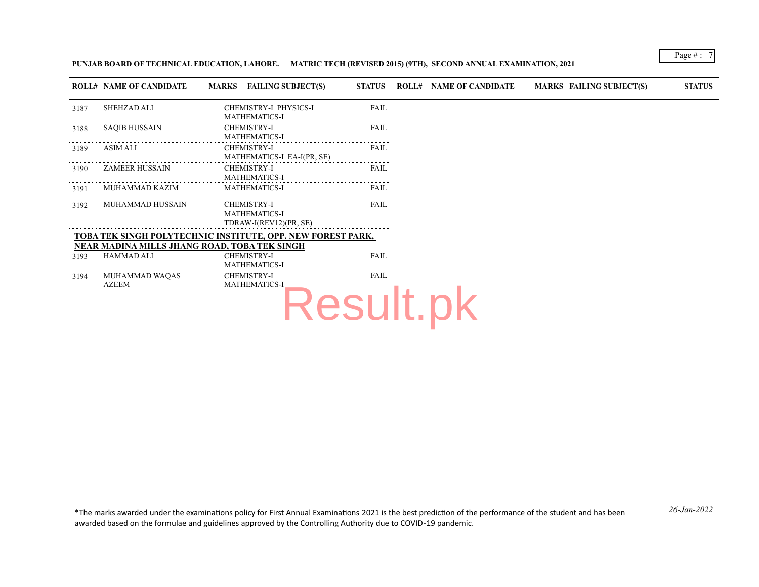**PUNJAB BOARD OF TECHNICAL EDUCATION, LAHORE. MATRIC TECH (REVISED 2015) (9TH), SECOND ANNUAL EXAMINATION, 2021**

|      | <b>ROLL# NAME OF CANDIDATE</b> | MARKS FAILING SUBJECT(S)                                      | <b>STATUS</b> | <b>ROLL# NAME OF CANDIDATE</b> | <b>MARKS FAILING SUBJECT(S)</b> | <b>STATUS</b> |
|------|--------------------------------|---------------------------------------------------------------|---------------|--------------------------------|---------------------------------|---------------|
| 3187 | SHEHZAD ALI                    | CHEMISTRY-I PHYSICS-I<br>MATHEMATICS-I                        | <b>FAIL</b>   |                                |                                 |               |
| 3188 | <b>SAQIB HUSSAIN</b>           | <b>CHEMISTRY-I</b><br>MATHEMATICS-I                           | FAIL          |                                |                                 |               |
| 3189 | <b>ASIM ALI</b>                | <b>CHEMISTRY-I</b><br>MATHEMATICS-I EA-I(PR, SE)              | FAIL          |                                |                                 |               |
| 3190 | <b>ZAMEER HUSSAIN</b>          | CHEMISTRY-I<br>MATHEMATICS-I                                  | FAIL<br>----  |                                |                                 |               |
| 3191 | MUHAMMAD KAZIM                 | MATHEMATICS-I                                                 | <b>FAIL</b>   |                                |                                 |               |
| 3192 | MUHAMMAD HUSSAIN               | <b>CHEMISTRY-I</b><br>MATHEMATICS-I<br>TDRAW-I(REV12)(PR, SE) | <b>FAIL</b>   |                                |                                 |               |
|      |                                | TOBA TEK SINGH POLYTECHNIC INSTITUTE, OPP. NEW FOREST PARK,   |               |                                |                                 |               |
|      |                                | NEAR MADINA MILLS JHANG ROAD, TOBA TEK SINGH                  |               |                                |                                 |               |
| 3193 | HAMMAD ALI                     | CHEMISTRY-I<br>MATHEMATICS-I                                  | <b>FAIL</b>   |                                |                                 |               |
| 3194 | MUHAMMAD WAQAS<br><b>AZEEM</b> | CHEMISTRY-I<br>MATHEMATICS-I                                  | <b>FAIL</b>   |                                |                                 |               |
|      |                                |                                                               |               | Result.pk                      |                                 |               |
|      |                                |                                                               |               |                                |                                 |               |
|      |                                |                                                               |               |                                |                                 |               |
|      |                                |                                                               |               |                                |                                 |               |
|      |                                |                                                               |               |                                |                                 |               |
|      |                                |                                                               |               |                                |                                 |               |
|      |                                |                                                               |               |                                |                                 |               |
|      |                                |                                                               |               |                                |                                 |               |
|      |                                |                                                               |               |                                |                                 |               |
|      |                                |                                                               |               |                                |                                 |               |
|      |                                |                                                               |               |                                |                                 |               |
|      |                                |                                                               |               |                                |                                 |               |
|      |                                |                                                               |               |                                |                                 |               |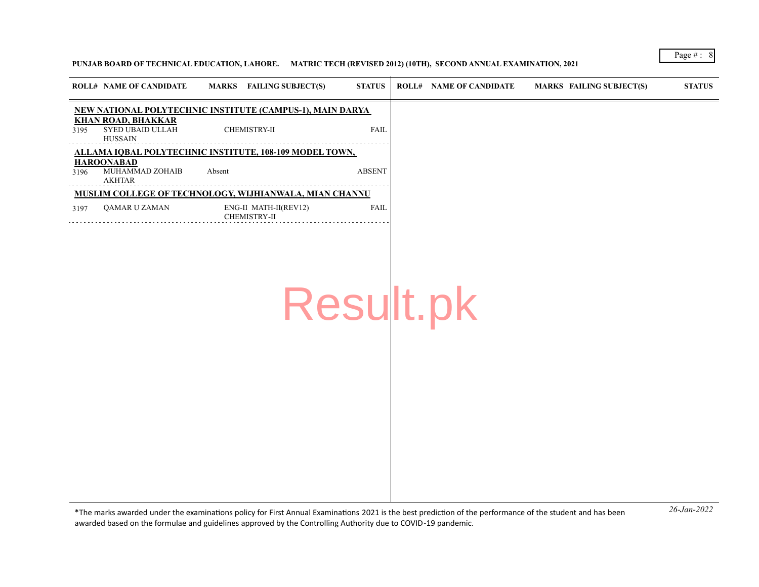## **PUNJAB BOARD OF TECHNICAL EDUCATION, LAHORE. MATRIC TECH (REVISED 2012) (10TH), SECOND ANNUAL EXAMINATION, 2021**

|      | <b>ROLL# NAME OF CANDIDATE</b>                           | <b>FAILING SUBJECT(S)</b><br><b>MARKS</b>                 | <b>STATUS</b> | <b>ROLL# NAME OF CANDIDATE</b> | MARKS FAILING SUBJECT(S) | <b>STATUS</b> |
|------|----------------------------------------------------------|-----------------------------------------------------------|---------------|--------------------------------|--------------------------|---------------|
|      |                                                          | NEW NATIONAL POLYTECHNIC INSTITUTE (CAMPUS-1), MAIN DARYA |               |                                |                          |               |
| 3195 | <b>KHAN ROAD, BHAKKAR</b><br>SYED UBAID ULLAH<br>HUSSAIN | CHEMISTRY-II                                              | <b>FAIL</b>   |                                |                          |               |
|      |                                                          | ALLAMA IOBAL POLYTECHNIC INSTITUTE, 108-109 MODEL TOWN,   |               |                                |                          |               |
| 3196 | <b>HAROONABAD</b><br>MUHAMMAD ZOHAIB<br>AKHTAR           | Absent                                                    | <b>ABSENT</b> |                                |                          |               |
|      |                                                          | MUSLIM COLLEGE OF TECHNOLOGY, WIJHIANWALA, MIAN CHANNU    |               |                                |                          |               |
| 3197 | OAMAR U ZAMAN                                            | ENG-II MATH-II(REV12)<br><b>CHEMISTRY-II</b>              | <b>FAIL</b>   |                                |                          |               |
|      |                                                          |                                                           |               |                                |                          |               |
|      |                                                          |                                                           |               |                                |                          |               |
|      |                                                          |                                                           |               |                                |                          |               |

Result.pk

*26-Jan-2022* \*The marks awarded under the examinatons policy for First Annual Examinatons 2021 is the best predicton of the performance of the student and has been awarded based on the formulae and guidelines approved by the Controlling Authority due to COVID-19 pandemic.

Page # : 8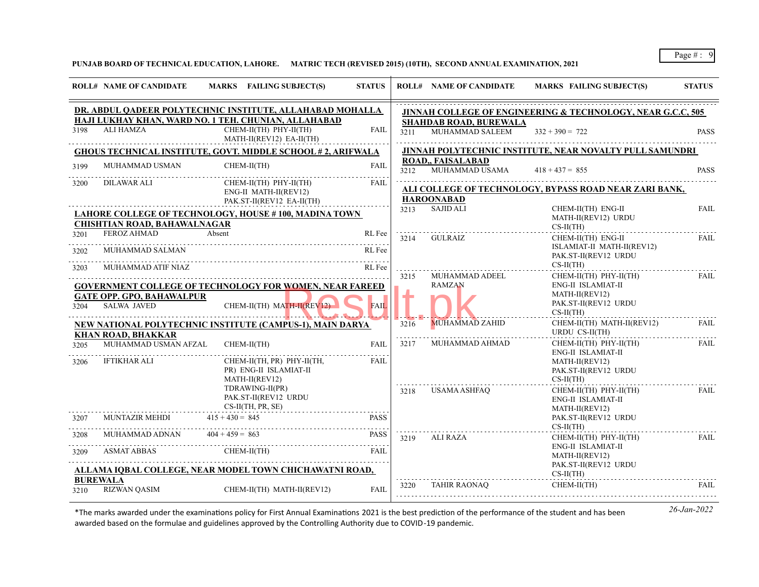## **PUNJAB BOARD OF TECHNICAL EDUCATION, LAHORE. MATRIC TECH (REVISED 2015) (10TH), SECOND ANNUAL EXAMINATION, 2021**

|              | <b>ROLL# NAME OF CANDIDATE</b>                         | MARKS FAILING SUBJECT(S)                                                                                   | <b>STATUS</b>    |      | <b>ROLL# NAME OF CANDIDATE</b>                          | <b>MARKS FAILING SUBJECT(S)</b>                                             | <b>STATUS</b> |
|--------------|--------------------------------------------------------|------------------------------------------------------------------------------------------------------------|------------------|------|---------------------------------------------------------|-----------------------------------------------------------------------------|---------------|
|              |                                                        | DR. ABDUL QADEER POLYTECHNIC INSTITUTE, ALLAHABAD MOHALLA                                                  |                  |      |                                                         | <b>JINNAH COLLEGE OF ENGINEERING &amp; TECHNOLOGY, NEAR G.C.C. 505</b>      |               |
| 3198         | ALI HAMZA                                              | HAJI LUKHAY KHAN, WARD NO. 1 TEH. CHUNIAN, ALLAHABAD<br>CHEM-II(TH) PHY-II(TH)<br>MATH-II(REV12) EA-II(TH) | <b>FAIL</b>      | 3211 | <b>SHAHDAB ROAD, BUREWALA</b><br><b>MUHAMMAD SALEEM</b> | $332 + 390 = 722$                                                           | <b>PASS</b>   |
|              |                                                        | <b>GHOUS TECHNICAL INSTITUTE, GOVT. MIDDLE SCHOOL #2, ARIFWALA</b>                                         |                  |      |                                                         | JINNAH POLYTECHNIC INSTITUTE, NEAR NOVALTY PULL SAMUNDRI                    |               |
| 3199         | MUHAMMAD USMAN                                         | CHEM-II(TH)                                                                                                | <b>FAIL</b>      | 3212 | <b>ROAD., FAISALABAD</b><br>MUHAMMAD USAMA              | $418 + 437 = 855$                                                           | <b>PASS</b>   |
| 3200         | <b>DILAWAR ALI</b>                                     | CHEM-II(TH) PHY-II(TH)<br>ENG-II MATH-II(REV12)<br>PAK.ST-II(REV12 EA-II(TH)                               | FAIL             |      | <b>HAROONABAD</b>                                       | ALI COLLEGE OF TECHNOLOGY, BYPASS ROAD NEAR ZARI BANK,                      |               |
|              | <b>CHISHTIAN ROAD, BAHAWALNAGAR</b>                    | LAHORE COLLEGE OF TECHNOLOGY, HOUSE #100, MADINA TOWN                                                      |                  | 3213 | <b>SAJID ALI</b>                                        | CHEM-II(TH) ENG-II<br>MATH-II(REV12) URDU<br>$CS-II(TH)$                    | <b>FAIL</b>   |
| 3201<br>3202 | <b>FEROZ AHMAD</b><br>MUHAMMAD SALMAN                  | Absent                                                                                                     | RL Fee<br>RL Fee | 3214 | GULRAIZ                                                 | CHEM-II(TH) ENG-II<br>ISLAMIAT-II MATH-II(REV12)<br>PAK.ST-II(REV12 URDU    | <b>FAIL</b>   |
| 3203         | MUHAMMAD ATIF NIAZ                                     |                                                                                                            | RL Fee           | 3215 | MUHAMMAD ADEEL                                          | $CS-II(TH)$<br>CHEM-II(TH) PHY-II(TH)                                       | <b>FAIL</b>   |
| 3204         | <b>GATE OPP. GPO, BAHAWALPUR</b><br><b>SALWA JAVED</b> | <b>GOVERNMENT COLLEGE OF TECHNOLOGY FOR WOMEN, NEAR FAREED</b><br>CHEM-II(TH) MATH-II(REV12)               | <b>FAIL</b>      |      | <b>RAMZAN</b>                                           | ENG-II ISLAMIAT-II<br>MATH-II(REV12)<br>PAK.ST-II(REV12 URDU<br>$CS-II(TH)$ |               |
|              | <b>KHAN ROAD, BHAKKAR</b>                              | NEW NATIONAL POLYTECHNIC INSTITUTE (CAMPUS-1), MAIN DARYA                                                  |                  | 3216 | <b>MUHAMMAD ZAHID</b>                                   | CHEM-II(TH) MATH-II(REV12)<br>URDU CS-II(TH)                                | FAIL          |
| 3205         | MUHAMMAD USMAN AFZAL                                   | CHEM-II(TH)                                                                                                | <b>FAIL</b>      | 3217 | MUHAMMAD AHMAD                                          | $CHEM-II(TH)$ $PHY-II(TH)$<br>ENG-II ISLAMIAT-II                            | <b>FAIL</b>   |
| 3206         | IFTIKHAR ALI                                           | CHEM-II(TH, PR) PHY-II(TH,<br>PR) ENG-II ISLAMIAT-II<br>MATH-II(REV12)                                     | FAII.            |      |                                                         | MATH-II(REV12)<br>PAK.ST-II(REV12 URDU<br>$CS-II(TH)$                       |               |
|              |                                                        | TDRAWING-II(PR)<br>PAK.ST-II(REV12 URDU<br>$CS-II(TH, PR, SE)$                                             |                  | 3218 | USAMA ASHFAQ                                            | $CHEM-II(TH)$ $PHY-II(TH)$<br>ENG-II ISLAMIAT-II<br>MATH-II(REV12)          | FAIL          |
| 3207         | MUNTAZIR MEHDI                                         | $415 + 430 = 845$                                                                                          | <b>PASS</b>      |      |                                                         | PAK.ST-II(REV12 URDU                                                        |               |
| 3208         | MUHAMMAD ADNAN                                         | $404 + 459 = 863$                                                                                          | .<br><b>PASS</b> | 3219 | ALI RAZA                                                | $CS-II(TH)$<br>$CHEM-II(TH)$ $PHY-II(TH)$                                   | FAIL          |
| 3209         | <b>ASMAT ABBAS</b>                                     | $CHEM-II(TH)$                                                                                              | FAII.            |      |                                                         | ENG-II ISLAMIAT-II<br>MATH-II(REV12)                                        |               |
|              |                                                        | ALLAMA IQBAL COLLEGE, NEAR MODEL TOWN CHICHAWATNI ROAD,                                                    |                  |      |                                                         | PAK.ST-II(REV12 URDU<br>$CS-II(TH)$                                         |               |
| 3210         | <b>BUREWALA</b><br><b>RIZWAN QASIM</b>                 | CHEM-II(TH) MATH-II(REV12)                                                                                 | <b>FAIL</b>      | 3220 | TAHIR RAONAO                                            | CHEM-II(TH)                                                                 | <b>FAIL</b>   |
|              |                                                        |                                                                                                            |                  |      |                                                         |                                                                             |               |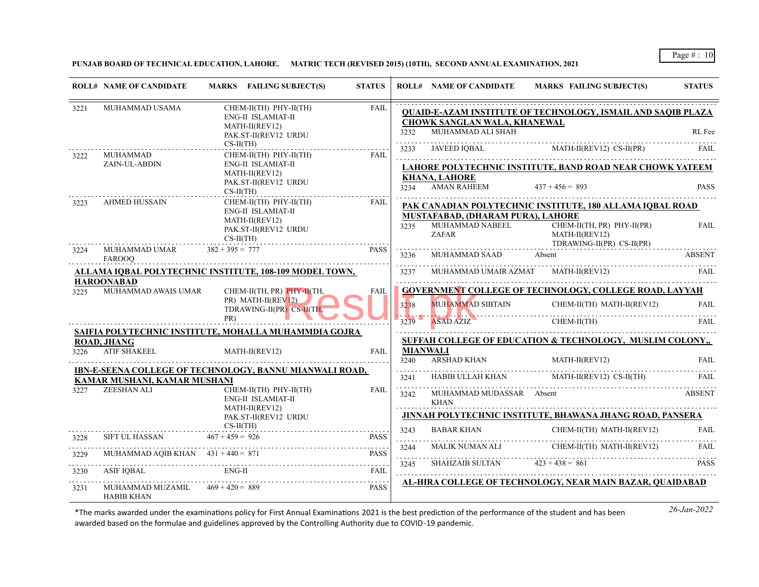**PUNJAB BOARD OF TECHNICAL EDUCATION, LAHORE. MATRIC TECH (REVISED 2015) (10TH), SECOND ANNUAL EXAMINATION, 2021**

|      | <b>ROLL# NAME OF CANDIDATE</b>                          | MARKS FAILING SUBJECT(S)                                                               | <b>STATUS</b> |                         | <b>ROLL# NAME OF CANDIDATE</b>                                | MARKS FAILING SUBJECT(S)                                                      | <b>STATUS</b> |
|------|---------------------------------------------------------|----------------------------------------------------------------------------------------|---------------|-------------------------|---------------------------------------------------------------|-------------------------------------------------------------------------------|---------------|
| 3221 | MUHAMMAD USAMA                                          | CHEM-II(TH) PHY-II(TH)<br>ENG-II ISLAMIAT-II<br>MATH-II(REV12)<br>PAK.ST-II(REV12 URDU | <b>FAIL</b>   | 3232                    | CHOWK SANGLAN WALA, KHANEWAL<br>MUHAMMAD ALI SHAH             | <b>OUAID-E-AZAM INSTITUTE OF TECHNOLOGY, ISMAIL AND SAOIB PLAZA</b>           | RL Fee        |
| 3222 | MUHAMMAD                                                | $CS-II(TH)$<br>CHEM-II(TH) PHY-II(TH)                                                  | <b>FAIL</b>   | 3233                    |                                                               | JAVEED IQBAL MATH-II(REV12) CS-II(PR)                                         | FAIL.         |
|      | ZAIN-UL-ABDIN                                           | ENG-II ISLAMIAT-II                                                                     |               |                         |                                                               | LAHORE POLYTECHNIC INSTITUTE, BAND ROAD NEAR CHOWK YATEEM                     |               |
|      |                                                         | MATH-II(REV12)<br>PAK.ST-II(REV12 URDU<br>$CS-II(TH)$                                  |               | 3234                    | <b>KHANA, LAHORE</b><br><b>AMAN RAHEEM</b>                    | $437 + 456 = 893$                                                             | <b>PASS</b>   |
| 3223 | <b>AHMED HUSSAIN</b>                                    | CHEM-II(TH) PHY-II(TH)                                                                 | <b>FAIL</b>   |                         |                                                               | PAK CANADIAN POLYTECHNIC INSTITUTE, 180 ALLAMA IQBAL ROAD                     |               |
|      |                                                         | ENG-II ISLAMIAT-II<br>MATH-II(REV12)<br>PAK.ST-II(REV12 URDU<br>$CS-II(TH)$            |               | 3235                    | MUSTAFABAD, (DHARAM PURA), LAHORE<br>MUHAMMAD NABEEL<br>ZAFAR | $CHEM-II(TH, PR)$ $PHY-II(PR)$<br>MATH-II(REV12)<br>TDRAWING-II(PR) CS-II(PR) | <b>FAIL</b>   |
| 3224 | MUHAMMAD UMAR<br><b>FAROOO</b>                          | $382 + 395 = 777$                                                                      | <b>PASS</b>   | 3236                    | MUHAMMAD SAAD Absent                                          |                                                                               | <b>ABSENT</b> |
|      |                                                         | ALLAMA IQBAL POLYTECHNIC INSTITUTE, 108-109 MODEL TOWN,                                |               | .<br>3237               |                                                               | MUHAMMAD UMAIR AZMAT MATH-II(REV12)                                           | FAIL          |
| 3225 | <b>HAROONABAD</b><br>MUHAMMAD AWAIS UMAR                | CHEM-II(TH, PR) PHY-II(TH,<br>$PR)$ MATH-II(REV12)<br>TDRAWING-II(PR) CS-II(TH         | <b>FAIL</b>   |                         |                                                               | <b>GOVERNMENT COLLEGE OF TECHNOLOGY, COLLEGE ROAD, LAYYAH</b>                 |               |
|      |                                                         |                                                                                        |               | 3238                    | MUHAMMAD SIBTAIN                                              | CHEM-II(TH) MATH-II(REV12)                                                    | <b>FAIL</b>   |
|      |                                                         | PR)                                                                                    |               | 3239                    | <b>ASAD AZIZ</b>                                              | CHEM-II(TH)                                                                   | FAIL.         |
|      | <b>ROAD, JHANG</b>                                      | SAIFIA POLYTECHNIC INSTITUTE, MOHALLA MUHAMMDIA GOJRA                                  |               |                         |                                                               | SUFFAH COLLEGE OF EDUCATION & TECHNOLOGY, MUSLIM COLONY.                      |               |
| 3226 | <b>ATIF SHAKEEL</b>                                     | MATH-II(REV12)                                                                         | <b>FAIL</b>   | <b>MIANWALI</b><br>3240 | <b>ARSHAD KHAN</b>                                            | MATH-II(REV12)                                                                | FAII.         |
|      |                                                         | IBN-E-SEENA COLLEGE OF TECHNOLOGY, BANNU MIANWALI ROAD,                                |               | 3241                    | <b>HABIB ULLAH KHAN</b>                                       | MATH-II(REV12) CS-II(TH)                                                      | FAIL          |
| 3227 | KAMAR MUSHANI, KAMAR MUSHANI<br>ZEESHAN ALI             | CHEM-II(TH) PHY-II(TH)<br>ENG-II ISLAMIAT-II                                           | <b>FAIL</b>   | .<br>3242               | MUHAMMAD MUDASSAR Absent<br><b>KHAN</b>                       |                                                                               | <b>ABSENT</b> |
|      |                                                         | MATH-II(REV12)<br>PAK.ST-II(REV12 URDU                                                 |               |                         |                                                               | JINNAH POLYTECHNIC INSTITUTE, BHAWANA JHANG ROAD, PANSERA                     |               |
|      |                                                         | $CS-II(TH)$                                                                            |               | 3243                    | <b>BABAR KHAN</b>                                             | CHEM-II(TH) MATH-II(REV12)                                                    | <b>FAIL</b>   |
| 3228 | SIFT UL HASSAN                                          | $467 + 459 = 926$                                                                      | <b>PASS</b>   |                         |                                                               |                                                                               |               |
| 3229 | MUHAMMAD AQIB KHAN $431 + 440 = 871$                    |                                                                                        | <b>PASS</b>   | 3244                    | MALIK NUMAN ALI                                               | CHEM-II(TH) MATH-II(REV12)                                                    | FAIL.         |
| 3230 | ASIF IQBAL                                              | ENG-II                                                                                 | FAIL          | 3245                    | SHAHZAIB SULTAN $423 + 438 = 861$                             |                                                                               | <b>PASS</b>   |
| 3231 | MUHAMMAD MUZAMIL $469 + 420 = 889$<br><b>HABIB KHAN</b> |                                                                                        | <b>PASS</b>   |                         |                                                               | AL-HIRA COLLEGE OF TECHNOLOGY, NEAR MAIN BAZAR, QUAIDABAD                     |               |